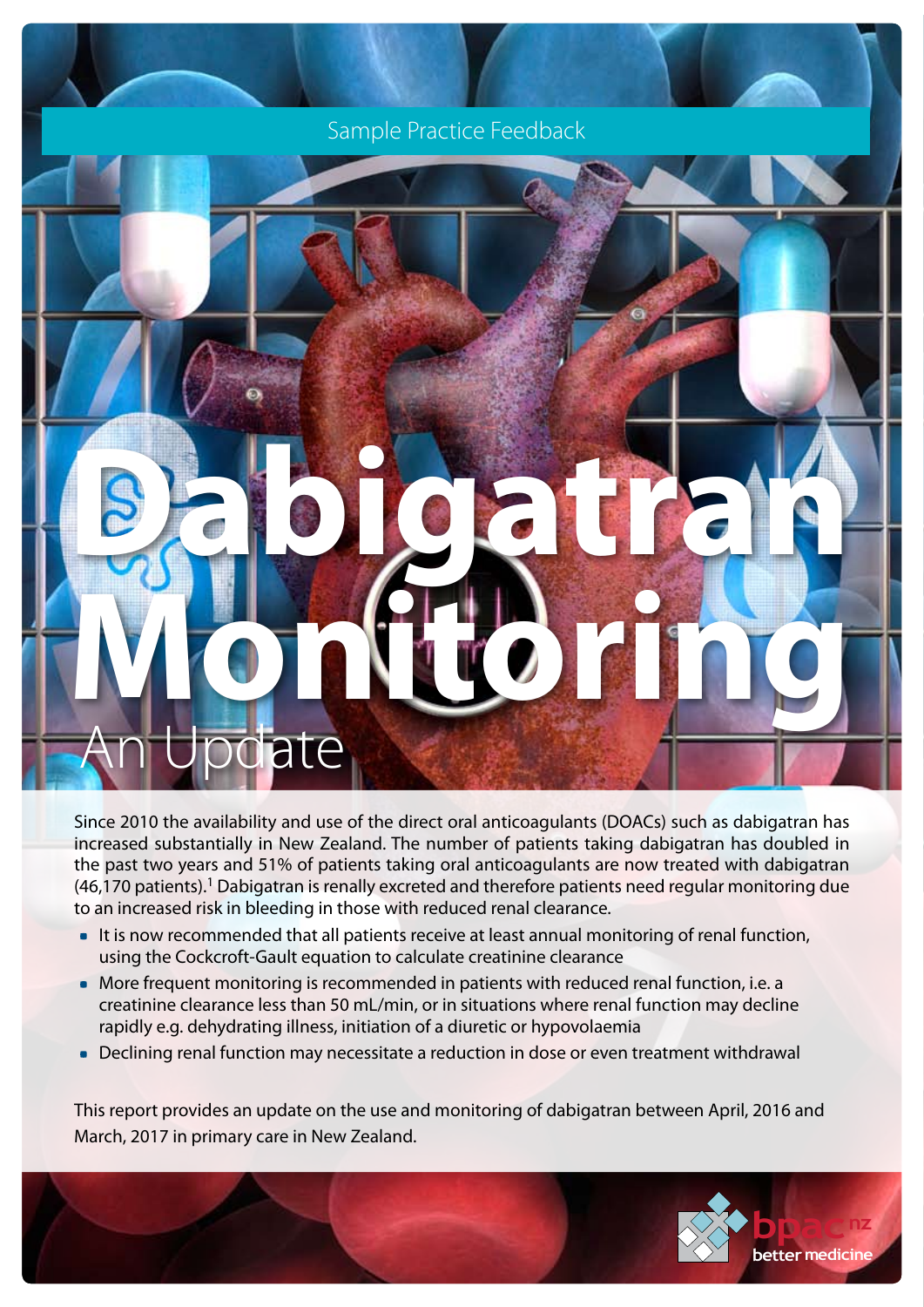Sample Practice Feedback

# **Dabigatran Monitoring** An Update

Since 2010 the availability and use of the direct oral anticoagulants (DOACs) such as dabigatran has increased substantially in New Zealand. The number of patients taking dabigatran has doubled in the past two years and 51% of patients taking oral anticoagulants are now treated with dabigatran (46,170 patients).1 Dabigatran is renally excreted and therefore patients need regular monitoring due to an increased risk in bleeding in those with reduced renal clearance.

- It is now recommended that all patients receive at least annual monitoring of renal function, using the Cockcroft-Gault equation to calculate creatinine clearance
- More frequent monitoring is recommended in patients with reduced renal function, i.e. a creatinine clearance less than 50 mL/min, or in situations where renal function may decline rapidly e.g. dehydrating illness, initiation of a diuretic or hypovolaemia
- Declining renal function may necessitate a reduction in dose or even treatment withdrawal

This report provides an update on the use and monitoring of dabigatran between April, 2016 and March, 2017 in primary care in New Zealand.